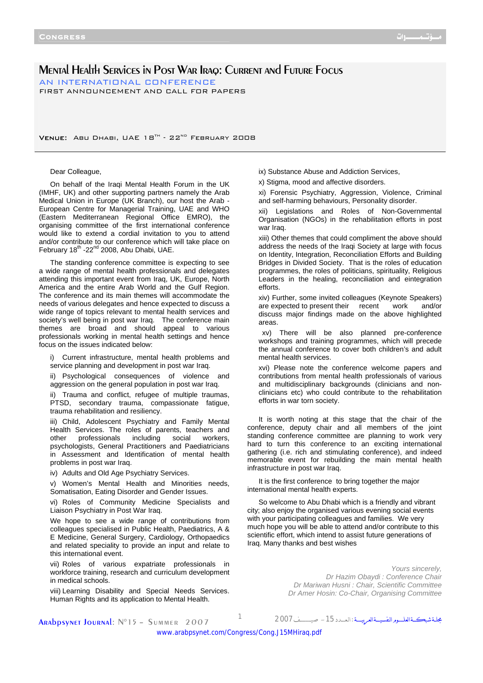# Mental Health Services in Post War Iraq: Current and Future Focus

AN INTERNATIONAL CONFERENCE FIRST ANNOUNCEMENT AND CALL FOR PAPERS

VENUE: ABU DHABI, UAE 18<sup>TH</sup> - 22<sup>ND</sup> FEBRUARY 2008

### Dear Colleague,

On behalf of the Iraqi Mental Health Forum in the UK (IMHF, UK) and other supporting partners namely the Arab Medical Union in Europe (UK Branch), our host the Arab - European Centre for Managerial Training, UAE and WHO (Eastern Mediterranean Regional Office EMRO), the organising committee of the first international conference would like to extend a cordial invitation to you to attend and/or contribute to our conference which will take place on February 18<sup>th</sup> -22<sup>nd</sup> 2008, Abu Dhabi, UAE.

The standing conference committee is expecting to see a wide range of mental health professionals and delegates attending this important event from Iraq, UK, Europe, North America and the entire Arab World and the Gulf Region. The conference and its main themes will accommodate the needs of various delegates and hence expected to discuss a wide range of topics relevant to mental health services and society's well being in post war Iraq. The conference main themes are broad and should appeal to various professionals working in mental health settings and hence focus on the issues indicated below:

i) Current infrastructure, mental health problems and service planning and development in post war Iraq.

ii) Psychological consequences of violence and aggression on the general population in post war Iraq.

ii) Trauma and conflict, refugee of multiple traumas, PTSD, secondary trauma, compassionate fatigue, trauma rehabilitation and resiliency.

iii) Child, Adolescent Psychiatry and Family Mental Health Services. The roles of parents, teachers and other professionals including social workers, psychologists, General Practitioners and Paediatricians in Assessment and Identification of mental health problems in post war Iraq.

iv) Adults and Old Age Psychiatry Services.

v) Women's Mental Health and Minorities needs, Somatisation, Eating Disorder and Gender Issues.

vi) Roles of Community Medicine Specialists and Liaison Psychiatry in Post War Iraq.

We hope to see a wide range of contributions from colleagues specialised in Public Health, Paediatrics, A & E Medicine, General Surgery, Cardiology, Orthopaedics and related speciality to provide an input and relate to this international event.

vii) Roles of various expatriate professionals in workforce training, research and curriculum development in medical schools.

viii) Learning Disability and Special Needs Services. Human Rights and its application to Mental Health.

- ix) Substance Abuse and Addiction Services,
- x) Stigma, mood and affective disorders.

xi) Forensic Psychiatry, Aggression, Violence, Criminal and self-harming behaviours, Personality disorder.

xii) Legislations and Roles of Non-Governmental Organisation (NGOs) in the rehabilitation efforts in post war Iraq.

xiii) Other themes that could compliment the above should address the needs of the Iraqi Society at large with focus on Identity, Integration, Reconciliation Efforts and Building Bridges in Divided Society. That is the roles of education programmes, the roles of politicians, spirituality, Religious Leaders in the healing, reconciliation and eintegration efforts.

xiv) Further, some invited colleagues (Keynote Speakers) are expected to present their recent work and/or discuss major findings made on the above highlighted areas.

 xv) There will be also planned pre-conference workshops and training programmes, which will precede the annual conference to cover both children's and adult mental health services.

xvi) Please note the conference welcome papers and contributions from mental health professionals of various and multidisciplinary backgrounds (clinicians and nonclinicians etc) who could contribute to the rehabilitation efforts in war torn society.

It is worth noting at this stage that the chair of the conference, deputy chair and all members of the joint standing conference committee are planning to work very hard to turn this conference to an exciting international gathering (i.e. rich and stimulating conference), and indeed memorable event for rebuilding the main mental health infrastructure in post war Iraq.

It is the first conference to bring together the major international mental health experts.

So welcome to Abu Dhabi which is a friendly and vibrant city; also enjoy the organised various evening social events with your participating colleagues and families. We very much hope you will be able to attend and/or contribute to this scientific effort, which intend to assist future generations of Iraq. Many thanks and best wishes

> *Yours sincerely, Dr Hazim Obaydi : Conference Chair Dr Mariwan Husni : Chair, Scientific Committee Dr Amer Hosin: Co-Chair, Organising Committee*

Arabpsynet Journal: N°15 – Summer 2007

مجلــةشبكـــةالعلــــــومالنفسيــــةالعربيـــــة :الـعــــدد-<sup>15</sup> صيــــــــــــف<sup>2007</sup> <sup>1</sup>